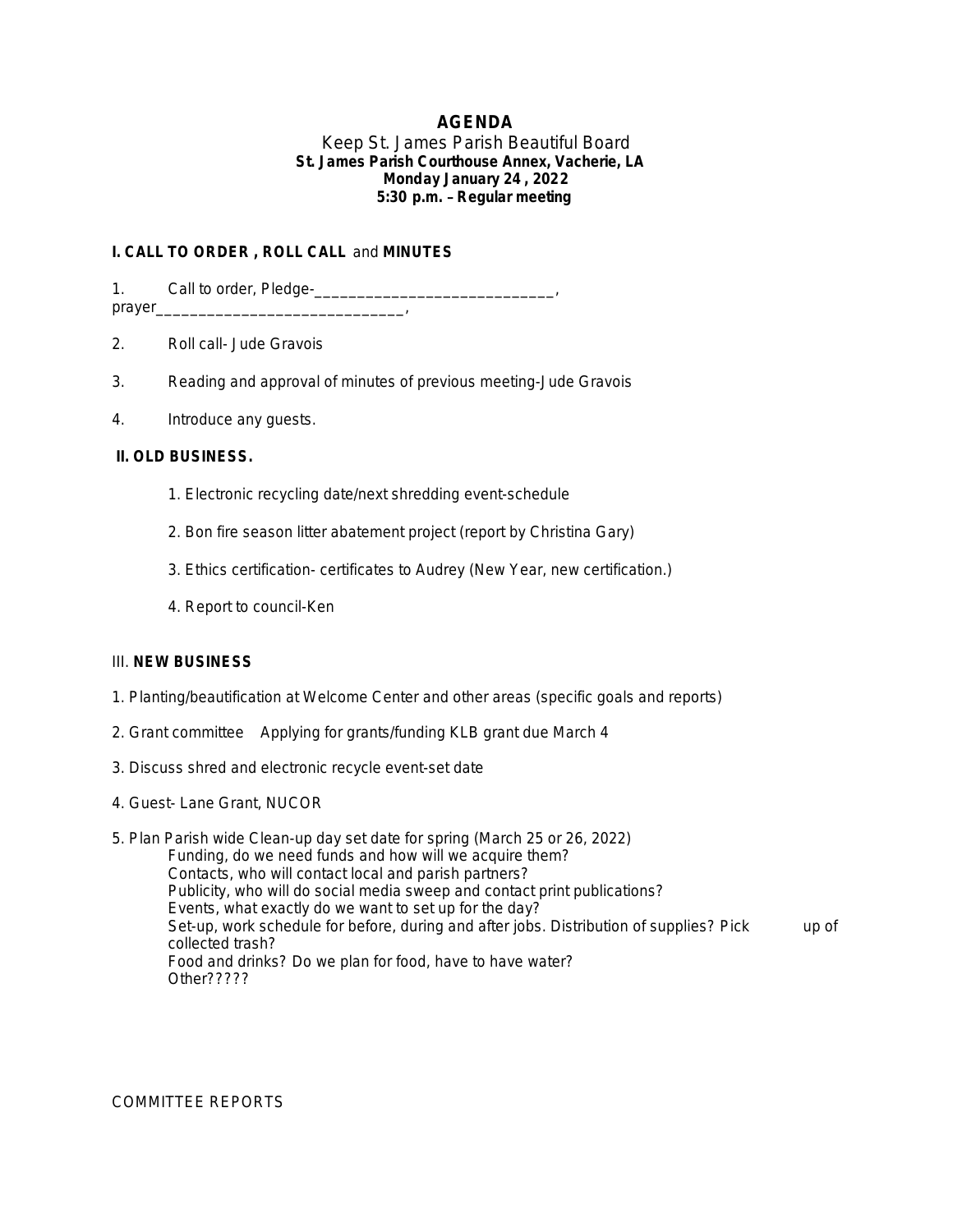# **AGENDA**

### Keep St. James Parish Beautiful Board **St. James Parish Courthouse Annex, Vacherie, LA Monday January 24 , 2022 5:30 p.m.** – **Regular meeting**

## **I. CALL TO ORDER , ROLL CALL** and **MINUTES**

1. Call to order, Pledgeprayer\_\_\_\_\_\_\_\_\_\_\_\_\_\_\_\_\_\_\_\_\_\_\_\_\_\_\_\_\_,

2. Roll call- Jude Gravois

- 3. Reading and approval of minutes of previous meeting-Jude Gravois
- 4. Introduce any guests.

### **II. OLD BUSINESS.**

- 1. Electronic recycling date/next shredding event-schedule
- 2. Bon fire season litter abatement project (report by Christina Gary)
- 3. Ethics certification- certificates to Audrey (New Year, new certification.)
- 4. Report to council-Ken

### III. **NEW BUSINESS**

- 1. Planting/beautification at Welcome Center and other areas (specific goals and reports)
- 2. Grant committee Applying for grants/funding KLB grant due March 4
- 3. Discuss shred and electronic recycle event-set date
- 4. Guest- Lane Grant, NUCOR
- 5. Plan Parish wide Clean-up day set date for spring (March 25 or 26, 2022) Funding, do we need funds and how will we acquire them? Contacts, who will contact local and parish partners? Publicity, who will do social media sweep and contact print publications? Events, what exactly do we want to set up for the day? Set-up, work schedule for before, during and after jobs. Distribution of supplies? Pick up of collected trash? Food and drinks? Do we plan for food, have to have water? Other?????

COMMITTEE REPORTS